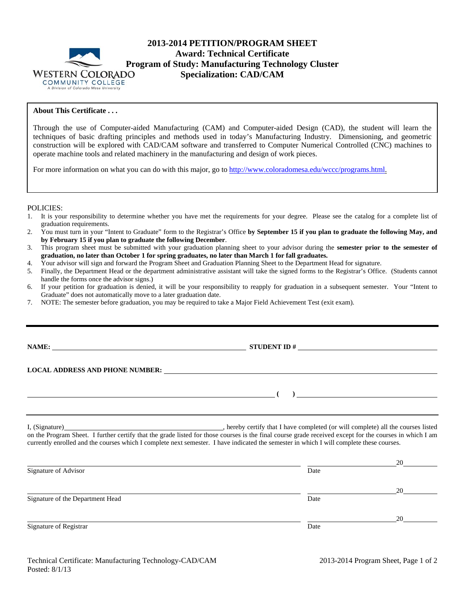

# **2013-2014 PETITION/PROGRAM SHEET Award: Technical Certificate Program of Study: Manufacturing Technology Cluster** WESTERN COLORADO **Specialization: CAD/CAM Specialization: CAD/CAM**

## **About This Certificate . . .**

Through the use of Computer-aided Manufacturing (CAM) and Computer-aided Design (CAD), the student will learn the techniques of basic drafting principles and methods used in today's Manufacturing Industry. Dimensioning, and geometric construction will be explored with CAD/CAM software and transferred to Computer Numerical Controlled (CNC) machines to operate machine tools and related machinery in the manufacturing and design of work pieces.

For more information on what you can do with this major, go to http://www.coloradomesa.edu/wccc/programs.html.

#### POLICIES:

- 1. It is your responsibility to determine whether you have met the requirements for your degree. Please see the catalog for a complete list of graduation requirements.
- 2. You must turn in your "Intent to Graduate" form to the Registrar's Office **by September 15 if you plan to graduate the following May, and by February 15 if you plan to graduate the following December**.
- 3. This program sheet must be submitted with your graduation planning sheet to your advisor during the **semester prior to the semester of graduation, no later than October 1 for spring graduates, no later than March 1 for fall graduates.**
- 4. Your advisor will sign and forward the Program Sheet and Graduation Planning Sheet to the Department Head for signature.
- 5. Finally, the Department Head or the department administrative assistant will take the signed forms to the Registrar's Office. (Students cannot handle the forms once the advisor signs.)
- 6. If your petition for graduation is denied, it will be your responsibility to reapply for graduation in a subsequent semester. Your "Intent to Graduate" does not automatically move to a later graduation date.
- 7. NOTE: The semester before graduation, you may be required to take a Major Field Achievement Test (exit exam).

**NAME: STUDENT ID #** 

 **( )** 

#### **LOCAL ADDRESS AND PHONE NUMBER:**

I, (Signature) , hereby certify that I have completed (or will complete) all the courses listed on the Program Sheet. I further certify that the grade listed for those courses is the final course grade received except for the courses in which I am currently enrolled and the courses which I complete next semester. I have indicated the semester in which I will complete these courses.

|                                  |      | 20 |
|----------------------------------|------|----|
| Signature of Advisor             | Date |    |
|                                  |      | 20 |
| Signature of the Department Head | Date |    |
|                                  |      | 20 |
| Signature of Registrar           | Date |    |